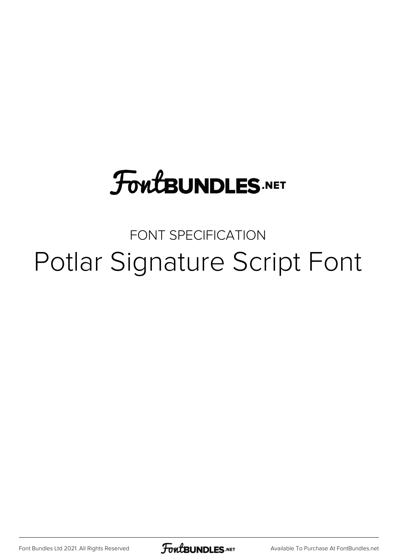## **FoutBUNDLES.NET**

## FONT SPECIFICATION Potlar Signature Script Font

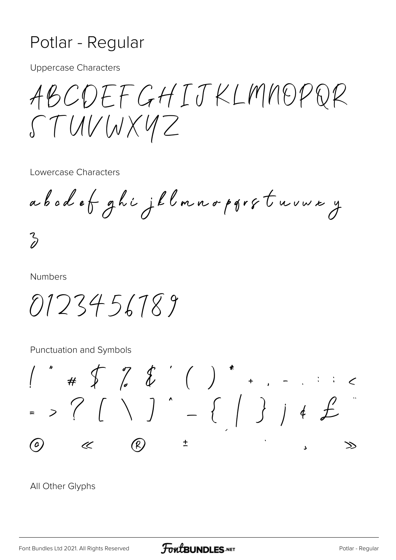## Potlar - Regular

**Uppercase Characters** 

ABCDEFGHIJKLMNOPQR STUVWXYZ

Lowercase Characters

abod et ghi jllmno pgretuvux y  $\frac{2}{d}$ 

**Numbers** 

0123456789

**Punctuation and Symbols** 



All Other Glyphs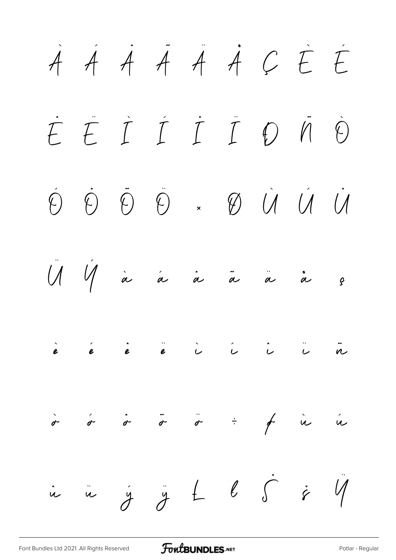

FontBUNDLES.NET